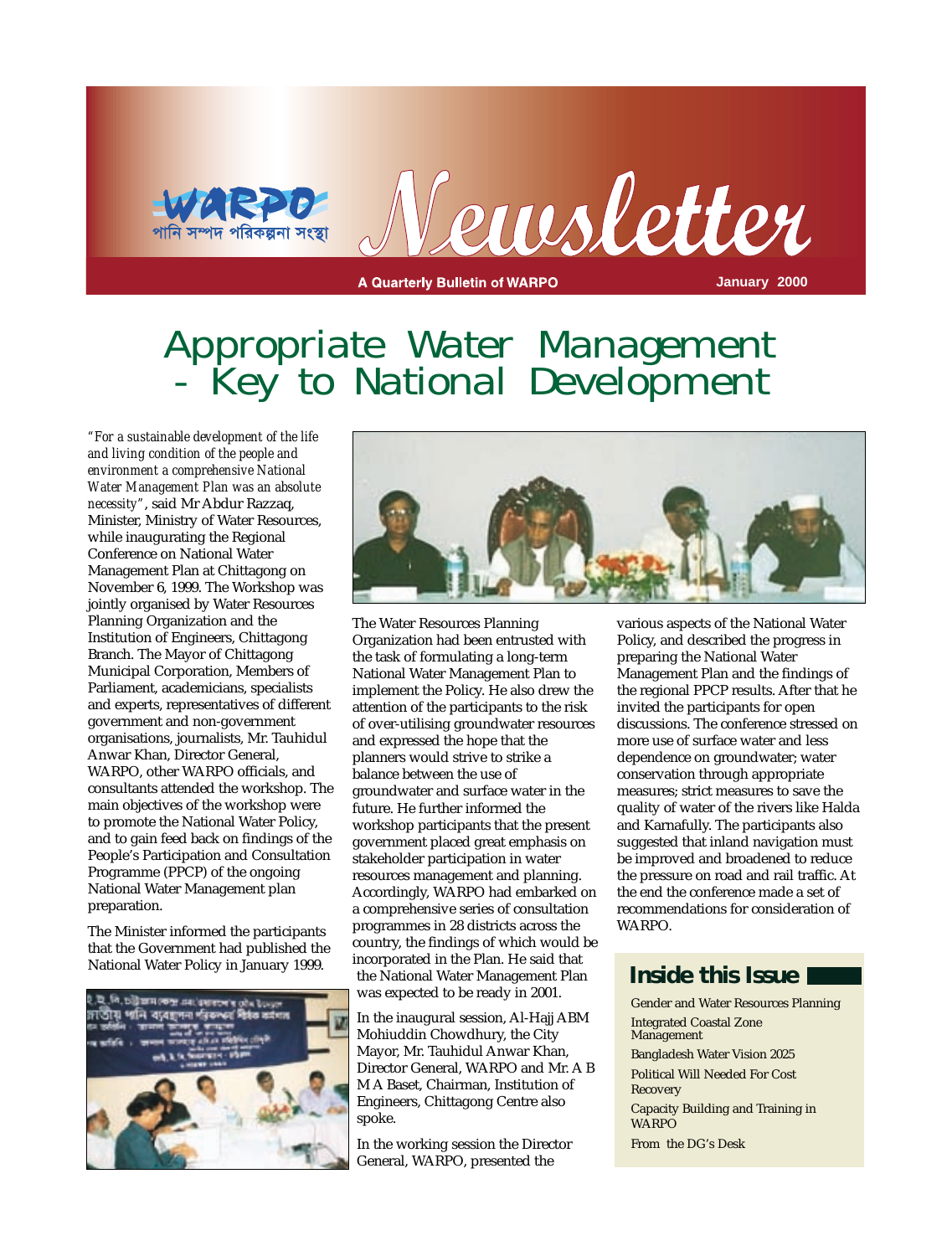



**A Quarterly Bulletin of WARPO** 

**January 2000**

### Appropriate Water Management - Key to National Development

*"For a sustainable development of the life and living condition of the people and environment a comprehensive National Water Management Plan was an absolute necessity"*, said Mr Abdur Razzaq, Minister, Ministry of Water Resources, while inaugurating the Regional Conference on National Water Management Plan at Chittagong on November 6, 1999. The Workshop was jointly organised by Water Resources Planning Organization and the Institution of Engineers, Chittagong Branch. The Mayor of Chittagong Municipal Corporation, Members of Parliament, academicians, specialists and experts, representatives of different government and non-government organisations, journalists, Mr. Tauhidul Anwar Khan, Director General, WARPO, other WARPO officials, and consultants attended the workshop. The main objectives of the workshop were to promote the National Water Policy, and to gain feed back on findings of the People's Participation and Consultation Programme (PPCP) of the ongoing National Water Management plan preparation.

The Minister informed the participants that the Government had published the National Water Policy in January 1999.





The Water Resources Planning Organization had been entrusted with the task of formulating a long-term National Water Management Plan to implement the Policy. He also drew the attention of the participants to the risk of over-utilising groundwater resources and expressed the hope that the planners would strive to strike a balance between the use of groundwater and surface water in the future. He further informed the workshop participants that the present government placed great emphasis on stakeholder participation in water resources management and planning. Accordingly, WARPO had embarked on a comprehensive series of consultation programmes in 28 districts across the country, the findings of which would be incorporated in the Plan. He said that the National Water Management Plan was expected to be ready in 2001.

In the inaugural session, Al-Hajj ABM Mohiuddin Chowdhury, the City Mayor, Mr. Tauhidul Anwar Khan, Director General, WARPO and Mr. A B M A Baset, Chairman, Institution of Engineers, Chittagong Centre also spoke.

In the working session the Director General, WARPO, presented the

various aspects of the National Water Policy, and described the progress in preparing the National Water Management Plan and the findings of the regional PPCP results. After that he invited the participants for open discussions. The conference stressed on more use of surface water and less dependence on groundwater; water conservation through appropriate measures; strict measures to save the quality of water of the rivers like Halda and Karnafully. The participants also suggested that inland navigation must be improved and broadened to reduce the pressure on road and rail traffic. At the end the conference made a set of recommendations for consideration of WARPO.

### **Inside this Issue**

Gender and Water Resources Planning Integrated Coastal Zone Management Bangladesh Water Vision 2025 Political Will Needed For Cost Recovery Capacity Building and Training in WARPO From the DG's Desk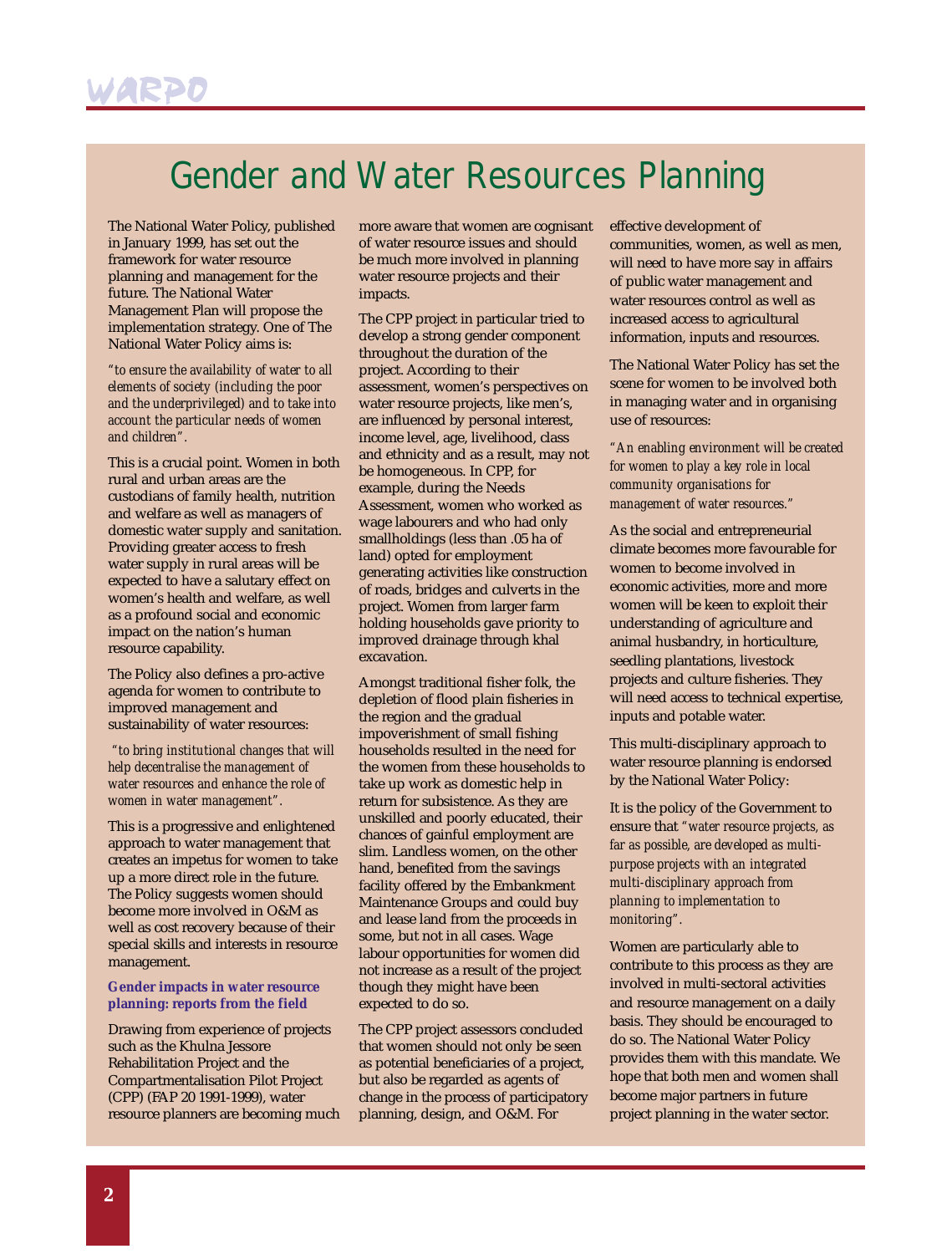### Gender and Water Resources Planning

The National Water Policy, published in January 1999, has set out the framework for water resource planning and management for the future. The National Water Management Plan will propose the implementation strategy. One of The National Water Policy aims is:

*"to ensure the availability of water to all elements of society (including the poor and the underprivileged) and to take into account the particular needs of women and children".*

This is a crucial point. Women in both rural and urban areas are the custodians of family health, nutrition and welfare as well as managers of domestic water supply and sanitation. Providing greater access to fresh water supply in rural areas will be expected to have a salutary effect on women's health and welfare, as well as a profound social and economic impact on the nation's human resource capability.

The Policy also defines a pro-active agenda for women to contribute to improved management and sustainability of water resources:

*"to bring institutional changes that will help decentralise the management of water resources and enhance the role of women in water management".*

This is a progressive and enlightened approach to water management that creates an impetus for women to take up a more direct role in the future. The Policy suggests women should become more involved in O&M as well as cost recovery because of their special skills and interests in resource management.

#### **Gender impacts in water resource planning: reports from the field**

Drawing from experience of projects such as the Khulna Jessore Rehabilitation Project and the Compartmentalisation Pilot Project (CPP) (FAP 20 1991-1999), water resource planners are becoming much more aware that women are cognisant of water resource issues and should be much more involved in planning water resource projects and their impacts.

The CPP project in particular tried to develop a strong gender component throughout the duration of the project. According to their assessment, women's perspectives on water resource projects, like men's, are influenced by personal interest, income level, age, livelihood, class and ethnicity and as a result, may not be homogeneous. In CPP, for example, during the Needs Assessment, women who worked as wage labourers and who had only smallholdings (less than .05 ha of land) opted for employment generating activities like construction of roads, bridges and culverts in the project. Women from larger farm holding households gave priority to improved drainage through khal excavation.

Amongst traditional fisher folk, the depletion of flood plain fisheries in the region and the gradual impoverishment of small fishing households resulted in the need for the women from these households to take up work as domestic help in return for subsistence. As they are unskilled and poorly educated, their chances of gainful employment are slim. Landless women, on the other hand, benefited from the savings facility offered by the Embankment Maintenance Groups and could buy and lease land from the proceeds in some, but not in all cases. Wage labour opportunities for women did not increase as a result of the project though they might have been expected to do so.

The CPP project assessors concluded that women should not only be seen as potential beneficiaries of a project, but also be regarded as agents of change in the process of participatory planning, design, and O&M. For

effective development of communities, women, as well as men, will need to have more say in affairs of public water management and water resources control as well as increased access to agricultural information, inputs and resources.

The National Water Policy has set the scene for women to be involved both in managing water and in organising use of resources:

*"An enabling environment will be created for women to play a key role in local community organisations for management of water resources."*

As the social and entrepreneurial climate becomes more favourable for women to become involved in economic activities, more and more women will be keen to exploit their understanding of agriculture and animal husbandry, in horticulture, seedling plantations, livestock projects and culture fisheries. They will need access to technical expertise, inputs and potable water.

This multi-disciplinary approach to water resource planning is endorsed by the National Water Policy:

It is the policy of the Government to ensure that *"water resource projects, as far as possible, are developed as multipurpose projects with an integrated multi-disciplinary approach from planning to implementation to monitoring".* 

Women are particularly able to contribute to this process as they are involved in multi-sectoral activities and resource management on a daily basis. They should be encouraged to do so. The National Water Policy provides them with this mandate. We hope that both men and women shall become major partners in future project planning in the water sector.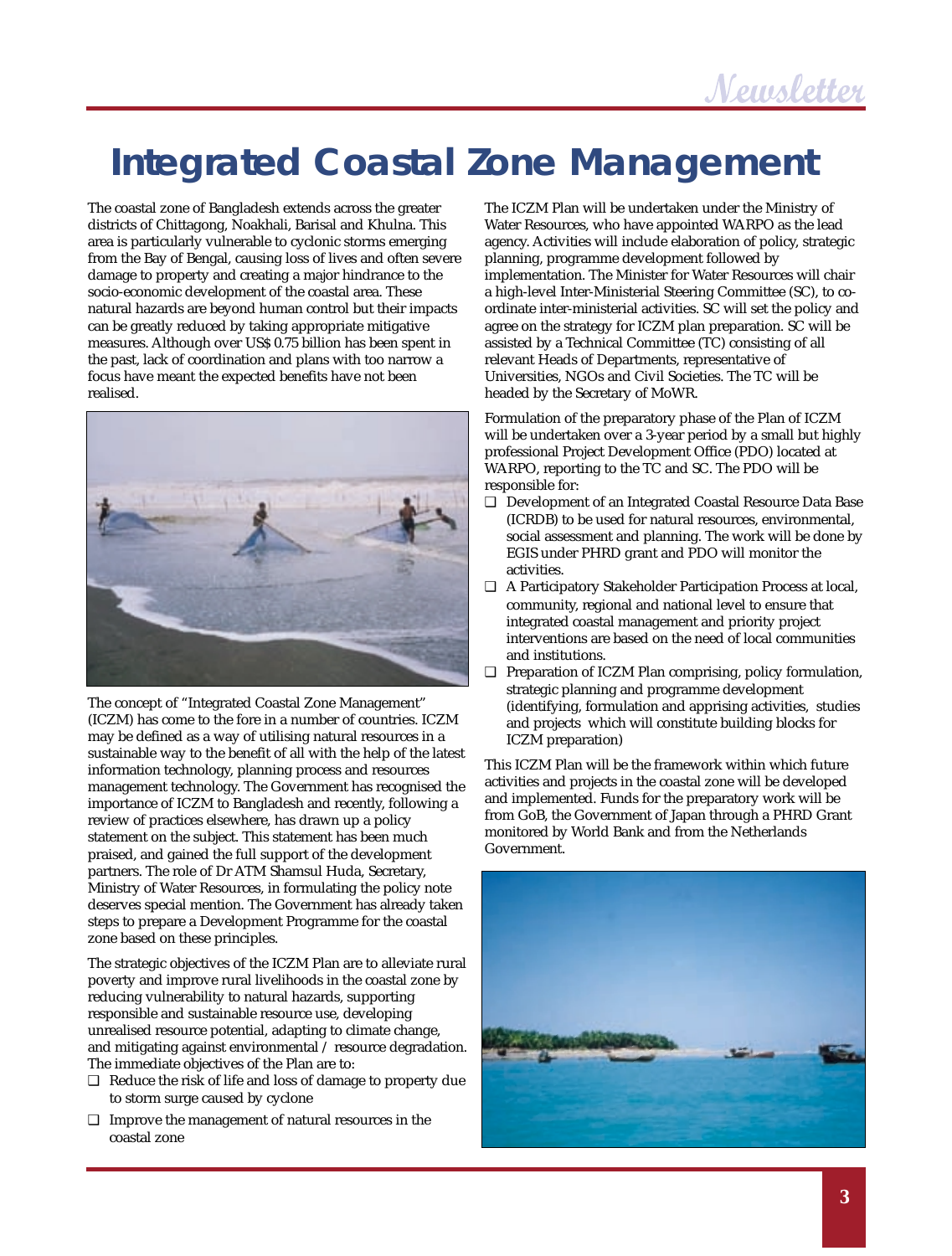## **Integrated Coastal Zone Management**

The coastal zone of Bangladesh extends across the greater districts of Chittagong, Noakhali, Barisal and Khulna. This area is particularly vulnerable to cyclonic storms emerging from the Bay of Bengal, causing loss of lives and often severe damage to property and creating a major hindrance to the socio-economic development of the coastal area. These natural hazards are beyond human control but their impacts can be greatly reduced by taking appropriate mitigative measures. Although over US\$ 0.75 billion has been spent in the past, lack of coordination and plans with too narrow a focus have meant the expected benefits have not been realised.



The concept of "Integrated Coastal Zone Management" (ICZM) has come to the fore in a number of countries. ICZM may be defined as a way of utilising natural resources in a sustainable way to the benefit of all with the help of the latest information technology, planning process and resources management technology. The Government has recognised the importance of ICZM to Bangladesh and recently, following a review of practices elsewhere, has drawn up a policy statement on the subject. This statement has been much praised, and gained the full support of the development partners. The role of Dr ATM Shamsul Huda, Secretary, Ministry of Water Resources, in formulating the policy note deserves special mention. The Government has already taken steps to prepare a Development Programme for the coastal zone based on these principles.

The strategic objectives of the ICZM Plan are to alleviate rural poverty and improve rural livelihoods in the coastal zone by reducing vulnerability to natural hazards, supporting responsible and sustainable resource use, developing unrealised resource potential, adapting to climate change, and mitigating against environmental / resource degradation. The immediate objectives of the Plan are to:

- ❑ Reduce the risk of life and loss of damage to property due to storm surge caused by cyclone
- ❑ Improve the management of natural resources in the coastal zone

The ICZM Plan will be undertaken under the Ministry of Water Resources, who have appointed WARPO as the lead agency. Activities will include elaboration of policy, strategic planning, programme development followed by implementation. The Minister for Water Resources will chair a high-level Inter-Ministerial Steering Committee (SC), to coordinate inter-ministerial activities. SC will set the policy and agree on the strategy for ICZM plan preparation. SC will be assisted by a Technical Committee (TC) consisting of all relevant Heads of Departments, representative of Universities, NGOs and Civil Societies. The TC will be headed by the Secretary of MoWR.

Formulation of the preparatory phase of the Plan of ICZM will be undertaken over a 3-year period by a small but highly professional Project Development Office (PDO) located at WARPO, reporting to the TC and SC. The PDO will be responsible for:

- ❑ Development of an Integrated Coastal Resource Data Base (ICRDB) to be used for natural resources, environmental, social assessment and planning. The work will be done by EGIS under PHRD grant and PDO will monitor the activities.
- ❑ A Participatory Stakeholder Participation Process at local, community, regional and national level to ensure that integrated coastal management and priority project interventions are based on the need of local communities and institutions.
- ❑ Preparation of ICZM Plan comprising, policy formulation, strategic planning and programme development (identifying, formulation and apprising activities, studies and projects which will constitute building blocks for ICZM preparation)

This ICZM Plan will be the framework within which future activities and projects in the coastal zone will be developed and implemented. Funds for the preparatory work will be from GoB, the Government of Japan through a PHRD Grant monitored by World Bank and from the Netherlands Government.

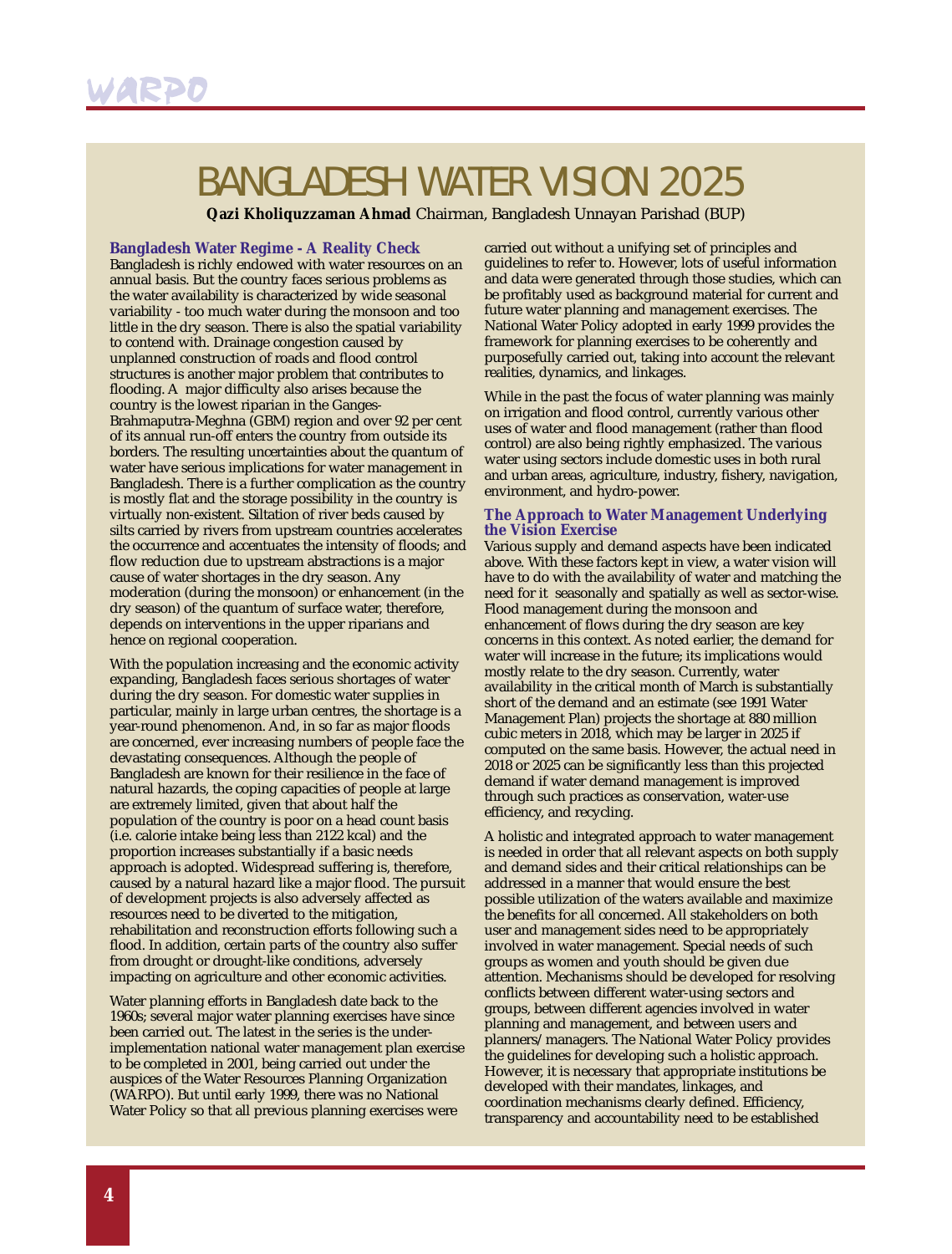## BANGLADESH WATER VISION 2025

**Qazi Kholiquzzaman Ahmad** Chairman, Bangladesh Unnayan Parishad (BUP)

#### **Bangladesh Water Regime - A Reality Check**

Bangladesh is richly endowed with water resources on an annual basis. But the country faces serious problems as the water availability is characterized by wide seasonal variability - too much water during the monsoon and too little in the dry season. There is also the spatial variability to contend with. Drainage congestion caused by unplanned construction of roads and flood control structures is another major problem that contributes to flooding. A major difficulty also arises because the country is the lowest riparian in the Ganges-Brahmaputra-Meghna (GBM) region and over 92 per cent of its annual run-off enters the country from outside its borders. The resulting uncertainties about the quantum of water have serious implications for water management in Bangladesh. There is a further complication as the country is mostly flat and the storage possibility in the country is virtually non-existent. Siltation of river beds caused by silts carried by rivers from upstream countries accelerates the occurrence and accentuates the intensity of floods; and flow reduction due to upstream abstractions is a major cause of water shortages in the dry season. Any moderation (during the monsoon) or enhancement (in the dry season) of the quantum of surface water, therefore, depends on interventions in the upper riparians and hence on regional cooperation.

With the population increasing and the economic activity expanding, Bangladesh faces serious shortages of water during the dry season. For domestic water supplies in particular, mainly in large urban centres, the shortage is a year-round phenomenon. And, in so far as major floods are concerned, ever increasing numbers of people face the devastating consequences. Although the people of Bangladesh are known for their resilience in the face of natural hazards, the coping capacities of people at large are extremely limited, given that about half the population of the country is poor on a head count basis (i.e. calorie intake being less than 2122 kcal) and the proportion increases substantially if a basic needs approach is adopted. Widespread suffering is, therefore, caused by a natural hazard like a major flood. The pursuit of development projects is also adversely affected as resources need to be diverted to the mitigation, rehabilitation and reconstruction efforts following such a flood. In addition, certain parts of the country also suffer from drought or drought-like conditions, adversely impacting on agriculture and other economic activities.

Water planning efforts in Bangladesh date back to the 1960s; several major water planning exercises have since been carried out. The latest in the series is the underimplementation national water management plan exercise to be completed in 2001, being carried out under the auspices of the Water Resources Planning Organization (WARPO). But until early 1999, there was no National Water Policy so that all previous planning exercises were

carried out without a unifying set of principles and guidelines to refer to. However, lots of useful information and data were generated through those studies, which can be profitably used as background material for current and future water planning and management exercises. The National Water Policy adopted in early 1999 provides the framework for planning exercises to be coherently and purposefully carried out, taking into account the relevant realities, dynamics, and linkages.

While in the past the focus of water planning was mainly on irrigation and flood control, currently various other uses of water and flood management (rather than flood control) are also being rightly emphasized. The various water using sectors include domestic uses in both rural and urban areas, agriculture, industry, fishery, navigation, environment, and hydro-power.

#### **The Approach to Water Management Underlying the Vision Exercise**

Various supply and demand aspects have been indicated above. With these factors kept in view, a water vision will have to do with the availability of water and matching the need for it seasonally and spatially as well as sector-wise. Flood management during the monsoon and enhancement of flows during the dry season are key concerns in this context. As noted earlier, the demand for water will increase in the future; its implications would mostly relate to the dry season. Currently, water availability in the critical month of March is substantially short of the demand and an estimate (see 1991 Water Management Plan) projects the shortage at 880 million cubic meters in 2018, which may be larger in 2025 if computed on the same basis. However, the actual need in 2018 or 2025 can be significantly less than this projected demand if water demand management is improved through such practices as conservation, water-use efficiency, and recycling.

A holistic and integrated approach to water management is needed in order that all relevant aspects on both supply and demand sides and their critical relationships can be addressed in a manner that would ensure the best possible utilization of the waters available and maximize the benefits for all concerned. All stakeholders on both user and management sides need to be appropriately involved in water management. Special needs of such groups as women and youth should be given due attention. Mechanisms should be developed for resolving conflicts between different water-using sectors and groups, between different agencies involved in water planning and management, and between users and planners/managers. The National Water Policy provides the guidelines for developing such a holistic approach. However, it is necessary that appropriate institutions be developed with their mandates, linkages, and coordination mechanisms clearly defined. Efficiency, transparency and accountability need to be established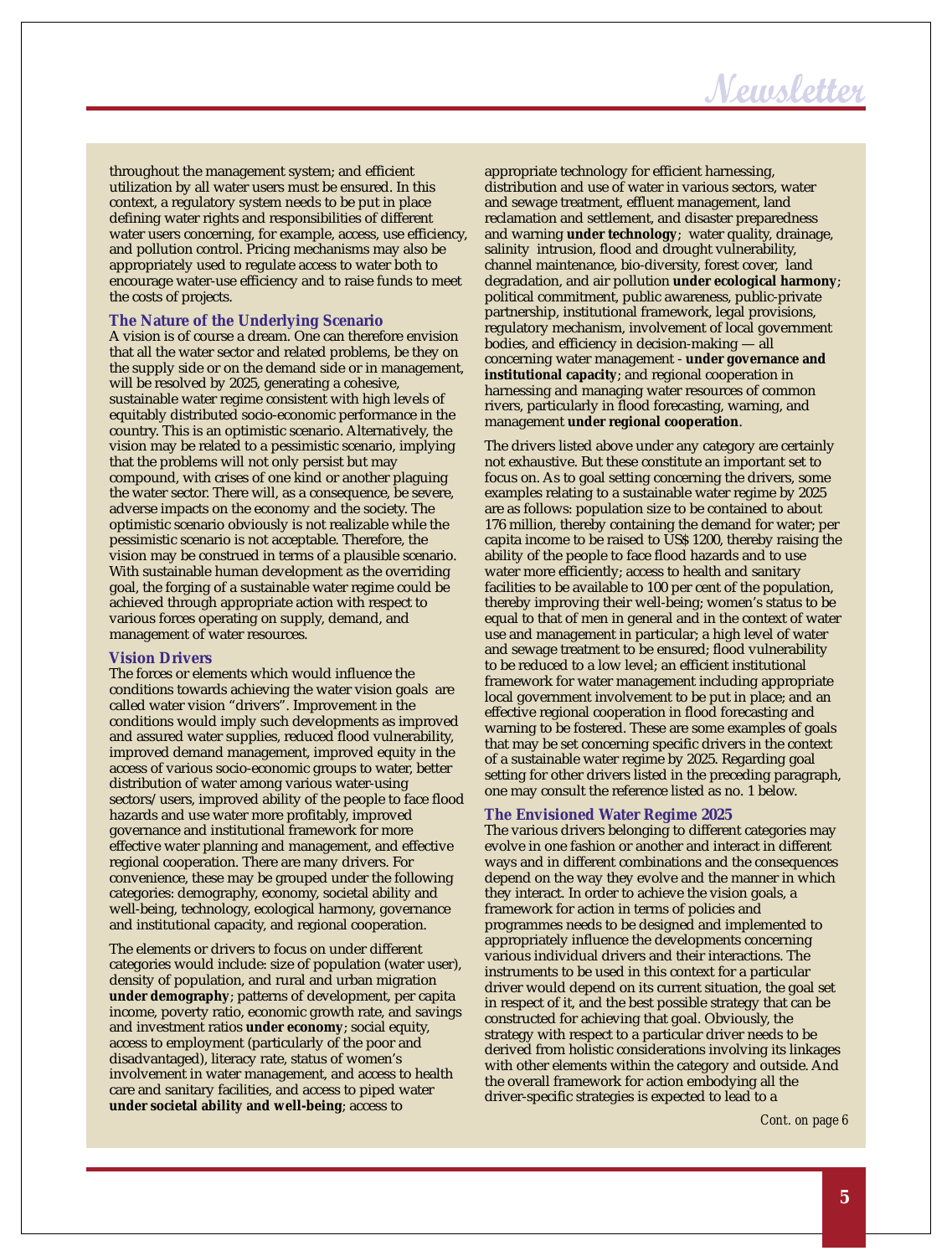### Newsletter

throughout the management system; and efficient utilization by all water users must be ensured. In this context, a regulatory system needs to be put in place defining water rights and responsibilities of different water users concerning, for example, access, use efficiency, and pollution control. Pricing mechanisms may also be appropriately used to regulate access to water both to encourage water-use efficiency and to raise funds to meet the costs of projects.

#### **The Nature of the Underlying Scenario**

A vision is of course a dream. One can therefore envision that all the water sector and related problems, be they on the supply side or on the demand side or in management, will be resolved by 2025, generating a cohesive, sustainable water regime consistent with high levels of equitably distributed socio-economic performance in the country. This is an optimistic scenario. Alternatively, the vision may be related to a pessimistic scenario, implying that the problems will not only persist but may compound, with crises of one kind or another plaguing the water sector. There will, as a consequence, be severe, adverse impacts on the economy and the society. The optimistic scenario obviously is not realizable while the pessimistic scenario is not acceptable. Therefore, the vision may be construed in terms of a plausible scenario. With sustainable human development as the overriding goal, the forging of a sustainable water regime could be achieved through appropriate action with respect to various forces operating on supply, demand, and management of water resources.

#### **Vision Drivers**

The forces or elements which would influence the conditions towards achieving the water vision goals are called water vision "drivers". Improvement in the conditions would imply such developments as improved and assured water supplies, reduced flood vulnerability, improved demand management, improved equity in the access of various socio-economic groups to water, better distribution of water among various water-using sectors/users, improved ability of the people to face flood hazards and use water more profitably, improved governance and institutional framework for more effective water planning and management, and effective regional cooperation. There are many drivers. For convenience, these may be grouped under the following categories: demography, economy, societal ability and well-being, technology, ecological harmony, governance and institutional capacity, and regional cooperation.

The elements or drivers to focus on under different categories would include: size of population (water user), density of population, and rural and urban migration **under demography**; patterns of development, per capita income, poverty ratio, economic growth rate, and savings and investment ratios **under economy**; social equity, access to employment (particularly of the poor and disadvantaged), literacy rate, status of women's involvement in water management, and access to health care and sanitary facilities, and access to piped water **under societal ability and well-being**; access to

appropriate technology for efficient harnessing, distribution and use of water in various sectors, water and sewage treatment, effluent management, land reclamation and settlement, and disaster preparedness and warning **under technology**; water quality, drainage, salinity intrusion, flood and drought vulnerability, channel maintenance, bio-diversity, forest cover, land degradation, and air pollution **under ecological harmony**; political commitment, public awareness, public-private partnership, institutional framework, legal provisions, regulatory mechanism, involvement of local government bodies, and efficiency in decision-making — all concerning water management - **under governance and institutional capacity**; and regional cooperation in harnessing and managing water resources of common rivers, particularly in flood forecasting, warning, and management **under regional cooperation**.

The drivers listed above under any category are certainly not exhaustive. But these constitute an important set to focus on. As to goal setting concerning the drivers, some examples relating to a sustainable water regime by 2025 are as follows: population size to be contained to about 176 million, thereby containing the demand for water; per capita income to be raised to US\$ 1200, thereby raising the ability of the people to face flood hazards and to use water more efficiently; access to health and sanitary facilities to be available to 100 per cent of the population, thereby improving their well-being; women's status to be equal to that of men in general and in the context of water use and management in particular; a high level of water and sewage treatment to be ensured; flood vulnerability to be reduced to a low level; an efficient institutional framework for water management including appropriate local government involvement to be put in place; and an effective regional cooperation in flood forecasting and warning to be fostered. These are some examples of goals that may be set concerning specific drivers in the context of a sustainable water regime by 2025. Regarding goal setting for other drivers listed in the preceding paragraph, one may consult the reference listed as no. 1 below.

#### **The Envisioned Water Regime 2025**

The various drivers belonging to different categories may evolve in one fashion or another and interact in different ways and in different combinations and the consequences depend on the way they evolve and the manner in which they interact. In order to achieve the vision goals, a framework for action in terms of policies and programmes needs to be designed and implemented to appropriately influence the developments concerning various individual drivers and their interactions. The instruments to be used in this context for a particular driver would depend on its current situation, the goal set in respect of it, and the best possible strategy that can be constructed for achieving that goal. Obviously, the strategy with respect to a particular driver needs to be derived from holistic considerations involving its linkages with other elements within the category and outside. And the overall framework for action embodying all the driver-specific strategies is expected to lead to a

*Cont. on page 6*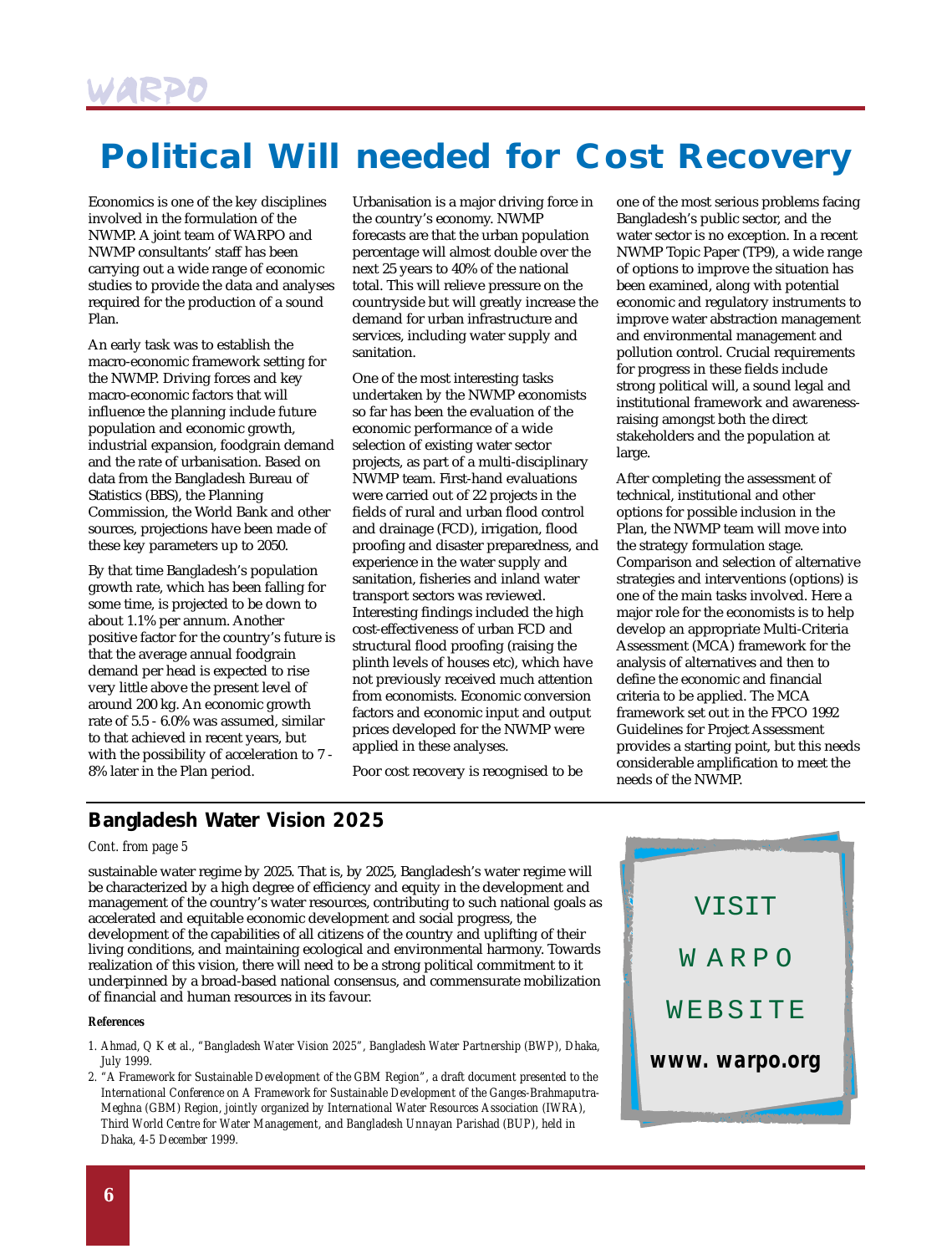### **Political Will needed for Cost Recovery**

Economics is one of the key disciplines involved in the formulation of the NWMP. A joint team of WARPO and NWMP consultants' staff has been carrying out a wide range of economic studies to provide the data and analyses required for the production of a sound Plan.

An early task was to establish the macro-economic framework setting for the NWMP. Driving forces and key macro-economic factors that will influence the planning include future population and economic growth, industrial expansion, foodgrain demand and the rate of urbanisation. Based on data from the Bangladesh Bureau of Statistics (BBS), the Planning Commission, the World Bank and other sources, projections have been made of these key parameters up to 2050.

By that time Bangladesh's population growth rate, which has been falling for some time, is projected to be down to about 1.1% per annum. Another positive factor for the country's future is that the average annual foodgrain demand per head is expected to rise very little above the present level of around 200 kg. An economic growth rate of 5.5 - 6.0% was assumed, similar to that achieved in recent years, but with the possibility of acceleration to 7 - 8% later in the Plan period.

Urbanisation is a major driving force in the country's economy. NWMP forecasts are that the urban population percentage will almost double over the next 25 years to 40% of the national total. This will relieve pressure on the countryside but will greatly increase the demand for urban infrastructure and services, including water supply and sanitation.

One of the most interesting tasks undertaken by the NWMP economists so far has been the evaluation of the economic performance of a wide selection of existing water sector projects, as part of a multi-disciplinary NWMP team. First-hand evaluations were carried out of 22 projects in the fields of rural and urban flood control and drainage (FCD), irrigation, flood proofing and disaster preparedness, and experience in the water supply and sanitation, fisheries and inland water transport sectors was reviewed. Interesting findings included the high cost-effectiveness of urban FCD and structural flood proofing (raising the plinth levels of houses etc), which have not previously received much attention from economists. Economic conversion factors and economic input and output prices developed for the NWMP were applied in these analyses.

Poor cost recovery is recognised to be

one of the most serious problems facing Bangladesh's public sector, and the water sector is no exception. In a recent NWMP Topic Paper (TP9), a wide range of options to improve the situation has been examined, along with potential economic and regulatory instruments to improve water abstraction management and environmental management and pollution control. Crucial requirements for progress in these fields include strong political will, a sound legal and institutional framework and awarenessraising amongst both the direct stakeholders and the population at large.

After completing the assessment of technical, institutional and other options for possible inclusion in the Plan, the NWMP team will move into the strategy formulation stage. Comparison and selection of alternative strategies and interventions (options) is one of the main tasks involved. Here a major role for the economists is to help develop an appropriate Multi-Criteria Assessment (MCA) framework for the analysis of alternatives and then to define the economic and financial criteria to be applied. The MCA framework set out in the FPCO 1992 Guidelines for Project Assessment provides a starting point, but this needs considerable amplification to meet the needs of the NWMP.

### **Bangladesh Water Vision 2025**

#### *Cont. from page 5*

sustainable water regime by 2025. That is, by 2025, Bangladesh's water regime will be characterized by a high degree of efficiency and equity in the development and management of the country's water resources, contributing to such national goals as accelerated and equitable economic development and social progress, the development of the capabilities of all citizens of the country and uplifting of their living conditions, and maintaining ecological and environmental harmony. Towards realization of this vision, there will need to be a strong political commitment to it underpinned by a broad-based national consensus, and commensurate mobilization of financial and human resources in its favour.

#### *References*

- *1. Ahmad, Q K et al., "Bangladesh Water Vision 2025", Bangladesh Water Partnership (BWP), Dhaka, July 1999.*
- *2. "A Framework for Sustainable Development of the GBM Region", a draft document presented to the International Conference on A Framework for Sustainable Development of the Ganges-Brahmaputra-Meghna (GBM) Region, jointly organized by International Water Resources Association (IWRA), Third World Centre for Water Management, and Bangladesh Unnayan Parishad (BUP), held in Dhaka, 4-5 December 1999.*

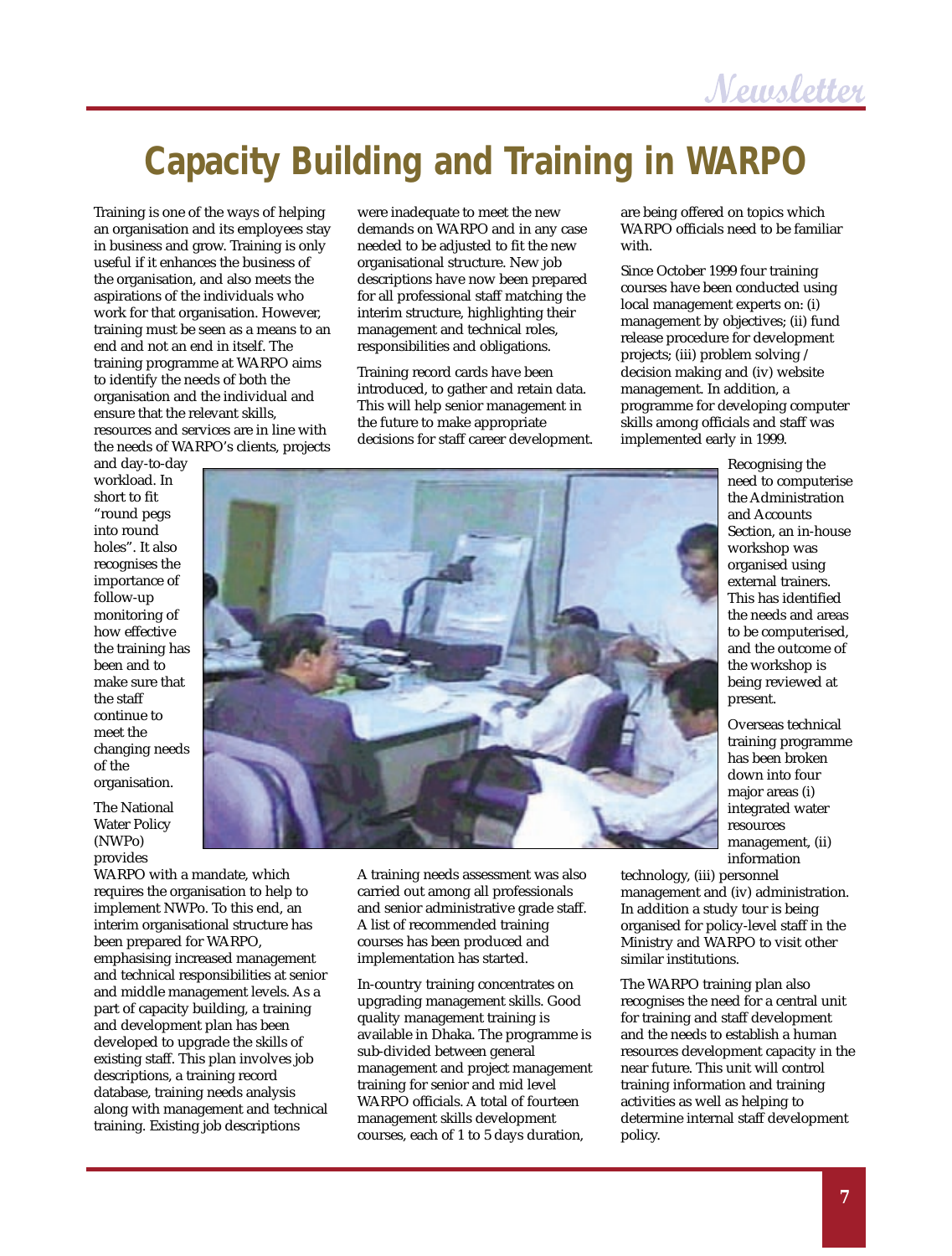# **Capacity Building and Training in WARPO**

Training is one of the ways of helping an organisation and its employees stay in business and grow. Training is only useful if it enhances the business of the organisation, and also meets the aspirations of the individuals who work for that organisation. However, training must be seen as a means to an end and not an end in itself. The training programme at WARPO aims to identify the needs of both the organisation and the individual and ensure that the relevant skills, resources and services are in line with the needs of WARPO's clients, projects

were inadequate to meet the new demands on WARPO and in any case needed to be adjusted to fit the new organisational structure. New job descriptions have now been prepared for all professional staff matching the interim structure, highlighting their management and technical roles, responsibilities and obligations.

Training record cards have been introduced, to gather and retain data. This will help senior management in the future to make appropriate decisions for staff career development. are being offered on topics which WARPO officials need to be familiar with.

Since October 1999 four training courses have been conducted using local management experts on: (i) management by objectives; (ii) fund release procedure for development projects; (iii) problem solving / decision making and (iv) website management. In addition, a programme for developing computer skills among officials and staff was implemented early in 1999.

and day-to-day workload. In short to fit "round pegs into round holes". It also recognises the importance of follow-up monitoring of how effective the training has been and to make sure that the staff continue to meet the changing needs of the organisation.

The National Water Policy (NWPo) provides

WARPO with a mandate, which requires the organisation to help to implement NWPo. To this end, an interim organisational structure has been prepared for WARPO, emphasising increased management and technical responsibilities at senior and middle management levels. As a part of capacity building, a training and development plan has been developed to upgrade the skills of existing staff. This plan involves job descriptions, a training record database, training needs analysis along with management and technical training. Existing job descriptions

A training needs assessment was also carried out among all professionals and senior administrative grade staff. A list of recommended training courses has been produced and implementation has started.

In-country training concentrates on upgrading management skills. Good quality management training is available in Dhaka. The programme is sub-divided between general management and project management training for senior and mid level WARPO officials. A total of fourteen management skills development courses, each of 1 to 5 days duration,

Recognising the need to computerise the Administration and Accounts Section, an in-house workshop was organised using external trainers. This has identified the needs and areas to be computerised, and the outcome of the workshop is being reviewed at present.

Overseas technical training programme has been broken down into four major areas (i) integrated water resources management, (ii) information

technology, (iii) personnel management and (iv) administration. In addition a study tour is being organised for policy-level staff in the Ministry and WARPO to visit other similar institutions.

The WARPO training plan also recognises the need for a central unit for training and staff development and the needs to establish a human resources development capacity in the near future. This unit will control training information and training activities as well as helping to determine internal staff development policy.